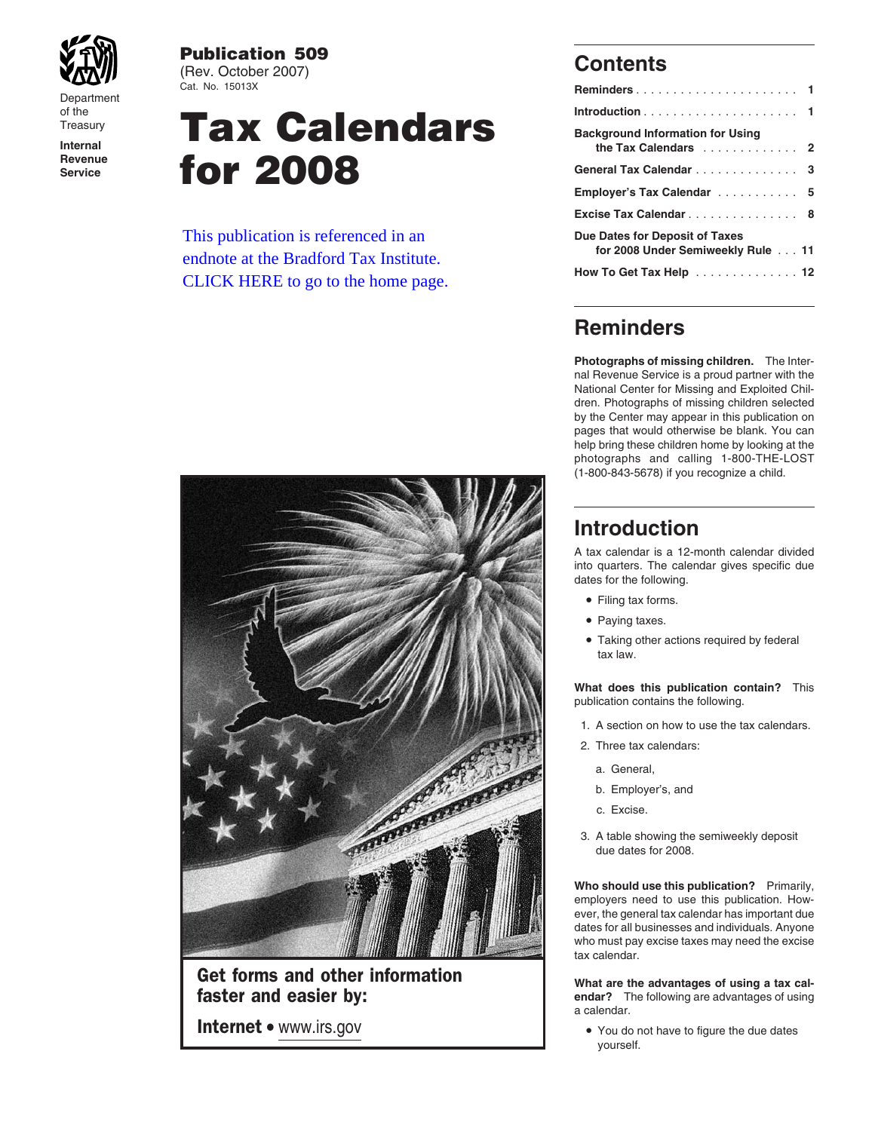

Department<br>of the

**Revenue**

# **Publication 509**

**Contents**<br>
(Rev. October 2007) **Contents**<br>
Cat. No. 15013X

# of the **Introduction**<br>Treasury **Tax Calendars Background Information for Using**<br>Internal the Tay Calendars **Internal the Tax Calendars** ............. **2 Service General Tax Calendar** .............. **<sup>3</sup> for 2008**

This publication is referenced in an endnote at the Bradford Tax Institute. [CLICK HERE to go to the home page.](http://www.bradfordtaxinstitute.com/)

# Cat. No. 15013X **Reminders** ...................... **1**

| $Introduction \dots \dots \dots \dots \dots \dots \dots \dots \dots \dots \dots \dots \dots$ |  |
|----------------------------------------------------------------------------------------------|--|
| <b>Background Information for Using</b><br>the Tax Calendars 2                               |  |
| General Tax Calendar 3                                                                       |  |
| Employer's Tax Calendar  5                                                                   |  |
| Excise Tax Calendar 8                                                                        |  |
| Due Dates for Deposit of Taxes<br>for 2008 Under Semiweekly Rule 11                          |  |
| How To Get Tax Help 12                                                                       |  |

# **Reminders**

**Photographs of missing children.** The Internal Revenue Service is a proud partner with the National Center for Missing and Exploited Children. Photographs of missing children selected by the Center may appear in this publication on pages that would otherwise be blank. You can help bring these children home by looking at the photographs and calling 1-800-THE-LOST (1-800-843-5678) if you recognize a child.



# Get forms and other information **What are the advantages of using a tax cal-**<br> **Faster and easier by: What are the advantages of using at a straight of the following are advantages of using**

Internet • www.irs.gov **and a state of the COV** • You do not have to figure the due dates

## **Introduction**

A tax calendar is a 12-month calendar divided into quarters. The calendar gives specific due dates for the following.

- Filing tax forms.
- Paying taxes.
- Taking other actions required by federal tax law.

**What does this publication contain?** This publication contains the following.

- 1. A section on how to use the tax calendars.
- 2. Three tax calendars:
	- a. General,
	- b. Employer's, and
	- c. Excise.
- 3. A table showing the semiweekly deposit due dates for 2008.

**Who should use this publication?** Primarily, employers need to use this publication. However, the general tax calendar has important due dates for all businesses and individuals. Anyone who must pay excise taxes may need the excise tax calendar.

endar? The following are advantages of using a calendar.

yourself.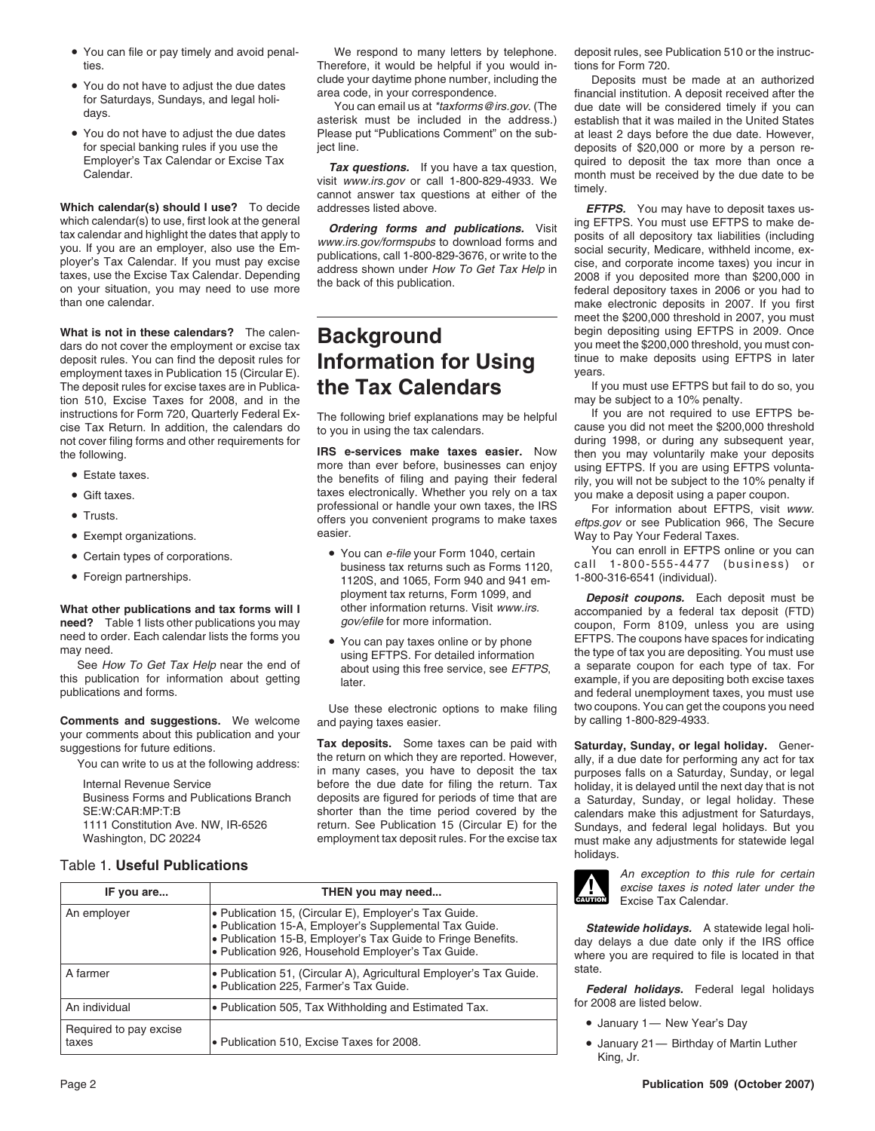- 
- 
- 

**Which calendar(s) should I use?** To decide addresses listed above. *EFTPS.* You may have to deposit taxes us-<br>which calendar(s) to use, first look at the general *Ordenting forms* and multications within ing EFTPS. Yo which calendar(s) to use, first look at the general<br>tax calendar and highlight the dates that apply to<br>you. If you are an employer, also use the Em-<br>ployer's Tax Calendar. If you must pay excise<br>ployer's Tax Calendar. If y

**What is not in these calendars?** The calen- **Background** begin depositing using EFTPS in 2009. Once dars do not cover the employment or excise tax **Background** vou meet the \$200,000 threshold, you must condars do not cover the employment or excise tax **Background** you **verture** you meet the \$200,000 threshold, you must con-<br>deposit rules. You can find the deposit rules for **Information for Ileina** tinue to make deposits usi deposit rules. You can find the deposit rules for **Information for Using** tinue to employment taxes in Publication 15 (Circular E).<br>The deposit rules for excise taxes are in Publica- **the Tax Calendars** If y The deposit rules for excise taxes are in Publica- **the Tax Calendars the the the secult of the to the trail to do so**, you must use EFTPS but fail to do so, you must use EFTPS but fail to do so, you tion 510, Excise Taxes for 2008, and in the may be subject to a 10% penalty.<br>instructions for Form 720, Quarterly Federal Ex-<br>rhe following brief explanations may be helpful by the may are not required to use EFTPS beinstructions for Form 720, Quarterly Federal Ex-<br>cise Tax Return. In addition, the calendars do<br>not cover filing forms and other requirements for<br>**IRS** e-services make taxes easier. Now then you may voluntarily make your d

- 
- 
- 
- 
- 
- 

**What other publications and tax forms will l** other information returns. Visit www.irs. accompanied by a federal tax deposit (FTD) need? Table 1 lists other publications you may gov/efile for more information.  $\frac{1}{2}$  c need to order. Each calendar lists the forms you • You can pay taxes online or by phone EFTPS. The coupons have spaces for indicating<br>may need. The first spaces for indicating the time of tax you are denositing. You must u

**Comments and suggestions.** We welcome and paying taxes easier. your comments about this publication and your

• You can file or pay timely and avoid penal-<br>We respond to many letters by telephone. deposit rules, see Publication 510 or the instructies. Therefore, it would be helpful if you would in- tions for Form 720.

• You do not have to adjust the due dates Please put "Publications Comment" on the sub- at least 2 days before the due date. However, for special banking rules if you use the ject line.

Employer's Tax Calendar or Excise Tax **Tax questions.** If you have a tax question, quired to deposit the tax more than once a<br>Calendar. visit www.irs.gov or call 1-800-829-4933. We month must be received by the due date to

the following. **IRS e-services make taxes easier.** Now then you may voluntarily make your deposits<br>more than ever before, businesses can enjoy using EFTPS. If you are using EFTPS volunta-■ Estate taxes. The benefits of filing and paying their federal rily, you will not be subject to the 10% penalty if and paying their federal rily, you will not be subject to the 10% penalty if and paying their federal ril • Gift taxes. taxes electronically. Whether you rely on a tax you make a deposit using a paper coupon.<br>The task of the state of the state of the state of the state of the state of the state of the state of the state of the

- 1120S, and 1065, Form 940 and 941 em-
- 

Use these electronic options to make filing two coupons. You can get the coupons of coupons you need to coupons<br>Not calling 1-800-829-4933.

suggestions for future editions. **Tax deposits.** Some taxes can be paid with **Saturday, Sunday, or legal holiday.** Gener-<br>Suggestions for future editions. The return on which they are reported. However, ally, if a due date You can write to us at the following address:<br>in many cases, you have to deposit the tax purposes falls on a Saturday, Sunday, or legal<br>Internal Revenue Service betore the due date for filing the return. Tax holiday, it is Internal Revenue Service **before the due date for filing the return**. Tax holiday, it is delayed until the next day that is not before the due date for filing the return. Tax holiday, it is delayed until the next day that Business Forms and Publications Branch deposits are figured for periods of time that are a Saturday, Sunday, or legal holiday. These<br>SE:W:CAR:MP:T:B<br>SE:W:CAR:MP:T:B SE:W:CAR:MP:T:B<br>1111 Constitution Ave. NW, IR-6526 eturn. See Publication 15 (Circular E) for the Sundays, and federal legal holidays, But you

• You do not have to adjust the due dates clude your daytime phone number, including the Deposits must be made at an authorized area code, in your correspondence.<br>
for Saturdays, Sundays, and legal holi-<br>
You can email us deposits of \$20,000 or more by a person re-

than one calendar. The calendar calendar control of the calendar calendar. Make electronic deposits in 2007. If you first meet the \$200,000 threshold in 2007, you must

professional or handle your own taxes, the IRS For information about EFTPS, visit www. • Trusts. offers you convenient programs to make taxes eftps.gov or see Publication 966, The Secure Way to Pay Your Federal Taxes.

• Certain types of corporations. • You can e-file your Form 1040, certain You can enroll in EFTPS online or you can business tax returns such as Forms 1120, call 1-800-555-4477 (business) or Providently and the Section of

ployment tax returns, Form 1099, and **Deposit coupons.** Each deposit must be other information returns. Visit *www.irs.* accompanied by a federal tax deposit (FTD) coupon, Form 8109, unless you are using y need.<br>See How To Get Tax Help near the end of each of about using this free service, see FFTPS a separate coupon for each type of tax. For See How To Get Tax Help near the end of about using this free service, see EFTPS, a separate coupon for each type of tax. For<br>example, if you are depositing both excise taxes<br>publications and forms.<br>and federal unemploymen and federal unemployment taxes, you must use<br>two coupons. You can get the coupons you need

1111 Constitution Ave. NW, IR-6526 return. See Publication 15 (Circular E) for the Sundays, and federal legal holidays. But you<br>Washington, DC 20224 employment tax deposit rules. For the excise tax must make any adjustment must make any adjustments for statewide legal holidays.



excise taxes is noted later under the **Excise Tax Calendar.** 

**Statewide holidays.** A statewide legal holiday delays a due date only if the IRS office where you are required to file is located in that

**Federal holidays.** Federal legal holidays for 2008 are listed below.

- $\bullet$  January 1  $\leftarrow$  New Year's Day
- January 21 Birthday of Martin Luther King, Jr.

### Table 1. **Useful Publications And Exception to this rule for certain**

| IF you are                      | THEN you may need                                                                                                                                                                                                                     |                |  |  |  |
|---------------------------------|---------------------------------------------------------------------------------------------------------------------------------------------------------------------------------------------------------------------------------------|----------------|--|--|--|
| An employer                     | • Publication 15, (Circular E), Employer's Tax Guide.<br>• Publication 15-A, Employer's Supplemental Tax Guide.<br>• Publication 15-B, Employer's Tax Guide to Fringe Benefits.<br>• Publication 926, Household Employer's Tax Guide. | day o<br>where |  |  |  |
| A farmer                        | • Publication 51, (Circular A), Agricultural Employer's Tax Guide.<br>· Publication 225, Farmer's Tax Guide.                                                                                                                          | state.         |  |  |  |
| An individual                   | $\bullet$ Publication 505, Tax Withholding and Estimated Tax.                                                                                                                                                                         | for 20         |  |  |  |
| Required to pay excise<br>taxes | • Publication 510, Excise Taxes for 2008.                                                                                                                                                                                             |                |  |  |  |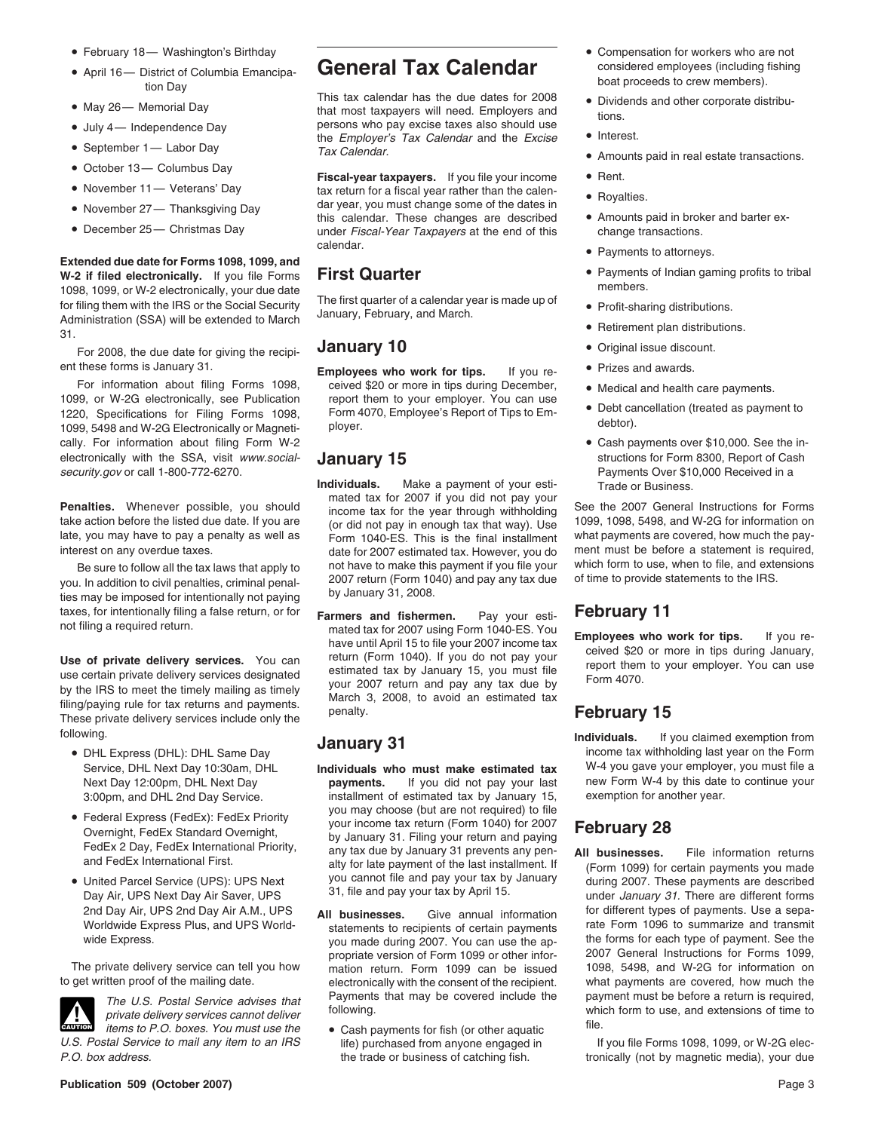- 
- 
- 
- 
- 
- 
- 
- 
- 

calendar.<br> **Extended due date for Forms 1098, 1099, and**<br> **Calendar Contribution Contribution Contribution Contribution 1098, 1099, and<br>
W-2 if filed electronically. If you file Forms <b>First Quarter Contribution Contribu** W-2 if filed electronically. If you file Forms First Quarter<br>
1098, 1099, or W-2 electronically, your due date<br>
for filing them with the IRS or the Social Security<br>
Administration (SSA) will be extended to March January, F

For 2008, the due date for giving the recipi- **January 10 For all and Secure 11 •** Original issue discount.

For information about filing Forms 1098, ceived \$20 or more in tips during December, • Medical and health care payments.<br>1099, or W-2G electronically, see Publication report them to your employer. You can use 1220, Specifications for Filing Forms 1098, Form 4070, Employee's Report of Tips to Em-<br>1099, 5498 and W-2G Electronically or Magneti- ployer. ployer. cally. For information about filing Form W-2 **• Cash payments over \$10,000**. See the inelectronically with the SSA, visit www.social-<br>
security.gov or call 1-800-772-6270.<br>
a naturally provided in a security.gov or call 1-800-772-6270. security.gov or call 1-800-772-6270.

you. In addition to civil penalties, criminal penal-<br>ties may be imposed for intentionally not paying<br>taxes, for intentionally filing a false return, or for **Farmers and fishermen**. Pay your esti- **February 11** taxes, for intentionally filing a false return, or for<br> **Farmers and fishermen.** Pay your esti-<br>
mated tax for 2007 using Form 1040-ES. You

filing/paying rule for tax returns and payments.<br>These private delivery services include only the penalty.<br>**February 15** 

- 
- 
- 



### **Publication 509 (October 2007)** Page 3

• April 16 — District of Columbia Emancipa-<br>
tion Day<br>
This tax calendar has the due dates for 2008<br>
This tax calendar has the due dates for 2008<br>
that most taxpayers will need. Employers and<br>
that most taxpayers will need • July 4- Independence Day persons who pay excise taxes also should use • September 1— Labor Day **Tax Calendar and the Excise** • Interest.<br>• September 1— Labor Day Tax Calendar.<br>• October 13— Columbus Day

• October 13— Columbus Day<br>• November 11— Veterans' Day **Fiscal-year taxpayers.** If you file your income • Rent. • November 11— Veterans' Day tax return for a fiscal year rather than the calen-<br>
• November 27— Thanksgiving Day dar year, you must change some of the dates in<br>
• December 25— Christmas Day under *Fiscal-Year Taxpavers* a under Fiscal-Year Taxpayers at the end of this change transactions.

ent these forms is January 31.<br>For information about filing Forms 1098, eeived \$20 or more in tips during December, a Medical and health

- **Individuals.** Make a payment of your esti-<br>mated tax for 2007 if you did not pay your **Penalties.** Whenever possible, you should<br>times take action before the listed due date. If you are<br>late, you may have to pay a penalty as well as<br>Form 1040-FS. This is the final installment what payments are covered, how late, you may have to pay a penalty as well as Form 1040-ES. This is the final installment what payments are covered, how much the pay-<br>interest on any overdue taxes.  $\frac{1}{100}$  atte for 2007 estimated tax. However, you d Be sure to follow all the tax laws that apply to not have to make this payment if you file your which form to use, when to file, and extensive to the IRS.
- not filing a required return.<br>
thave until April 15 to file your 2007 using Form 1040-ES. You<br>
thave until April 15 to file your 2007 income tax<br> **Use of private delivery services.** You can<br>
teturn (Form 1040). If you do n

- Service, DHL Next Day 10:30am, DHL **Individuals who must make estimated tax** Next Day 10:30am, DHL **Individuals who must make estimated tax** Next Day 12:00pm, DHL Next Day **payments.** If you did not pay your last new Form W-4 by this date to continue your<br>3:00pm, and DHL 2nd Day Service. **installment of estimated tax by January 15**, exemption for another year. 3:00pm, and DHL 2nd Day Service. installment of estimated tax by January 15,<br>you may choose (but are not required) to file • Federal Express (FedEx): FedEx Priority wou may choose (but are not required) to file<br>
Overnight, FedEx Standard Overnight, by January 31. Filing your return and paying<br>
FedEx 2 Day, FedEx International Priority, any tax
- Worldwide Express Plus, and UPS World-<br>with express and transmit statements to recipients of certain payments of the forms for each type of payment. See the you made during 2007. You can use the ap-The private delivery service can tell you how mation return. Form 1099 can be issued to get written proof of the mailing date.
	-
- February 18— Washington's Birthday  **Compensation for workers who are not Compensation for workers who are not Compensation for workers who are not Angli 16— District of Columbia Emancina. General Tax Cale** 
	-
	-
	-
	-
	-
	-
	-
	-
	-
	-
	-
	-
	-
	-
	-

date for 2007 estimated tax. However, you do ment must be before a statement is required, not have to make this payment if you file your which form to use, when to file, and extensions

following. **Individuals.** If you claimed exemption from **January 31 individuals.** If you claimed exemption from<br>• DHL Express (DHL): DHL Same Day **income tax withholding last year on the Form**<br>Service. DHL Next Day 10:30

2nd Day Air, UPS 2nd Day Air A.M., UPS **All businesses.** Give annual information for different types of payments. Use a sepa-<br>Worldwide Express Plus, and UPS World-<br>statements to recipients of certain payments and Form 109 propriate version of Form 1099 or other infor- 2007 General Instructions for Forms 1099, electronically with the consent of the recipient. what payments are covered, how much the The U.S. Postal Service advises that Payments that may be covered include the payment must be before a return is required,<br>
private delivery services cannot deliver following.<br>
items to P.O. boxes. You must use the Cash pa

U.S. Postal Service to mail any item to an IRS life) purchased from anyone engaged in If you file Forms 1098, 1099, or W-2G elec-P.O. box address. The trade or business of catching fish. tronically (not by magnetic media), your due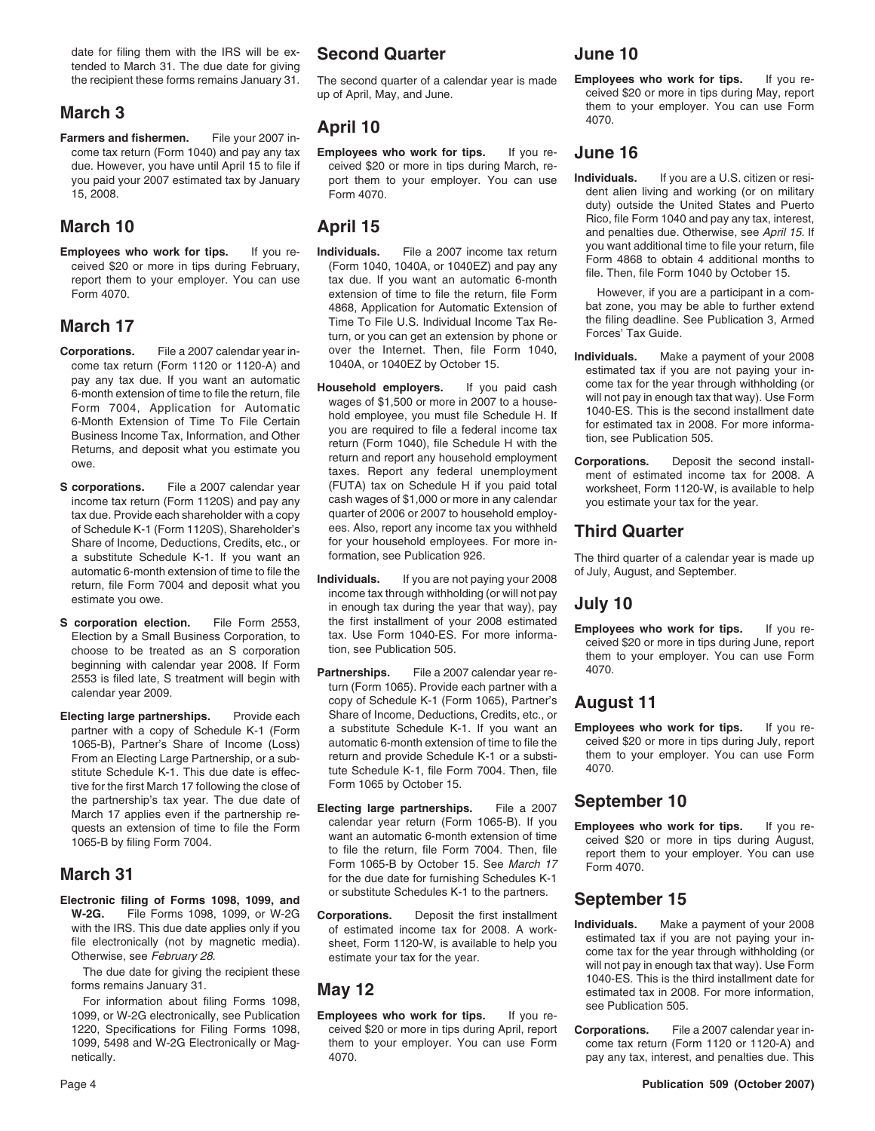date for filing them with the IRS will be ex- **Second Quarter <b>June 10** tended to March 31. The due date for giving

due. However, you have until April 15 to file if

- Corporations. File a 2007 calendar year inverting the Internet. Then, file Form 1040,<br>
pay any tax return (Form 1120 or 1120-A) and<br>
Form 1120 or 1120-A) and<br>
Form 7004, Application for Automatic<br>
Form 7004, Application fo
- Share of Income, Deductions, Credits, etc., or for your household employees.<br>
a substitute Schedule K-1. If you want an formation, see Publication 926.
- **Solution Solution Section Section** File Form 2553, the first installment of your 2008 estimated<br>Election by a Small Business Corporation, to tax. Use Form 1040-ES. For more informa-<br>choose to be treated as an Socrporation
- stitute Schedule K-1. This due date is effec-<br>tute Schedule K-1, file Form 1005. Then, file Form 1005. Then, file Form 1005. By October 15. tive for the first March 17 following the close of

Electronic filing of Forms 1098, 1099, and<br>W-2G File Forms 1098, 1099 or W-2G Corporations Deposit the first installment

come tax return (Form 1040) and pay any tax **Employees who work for tips.** If you re- **June 16** you paid your 2007 estimated tax by January port them to your employer. You can use **Individuals.** If you are a U.S. citizen or resi-15, 2008. Form 4070. dent alien living and working (or on military

- Employees who work for tips. If you re-<br>ceived \$20 or more in tips during February, (Form 1040, 1040A, or 1040EZ) and pay any<br>report them to your employer. You can use tax due. If you want an automatic 6-month<br>report them Form 4070. extension of time to file the return, file Form However, if you are a participant in a com-<br>4868. Application for Automatic Extension of bat zone, you may be able to further extend 4868, Application for Automatic Extension of bat zone, you may be able to further extend<br>Time To File U.S. Individual Income Tax Re- the filing deadline. See Publication 3, Armed **March 17** Time To File U.S. Individual Income Tax Re- the filing deadline.<br>turn, or you can get an extension by phone or Forces' Tax Guide.
- **S corporations.** File a 2007 calendar year (FUTA) tax on Schedule H if you paid total worksheet, Form 1120-W, is available to help income tax return (Form 1120S) and pay any cash wages of \$1,000 or more in any calendar yo cash wages of \$1,000 or more in any calendar you estimate your tax for the year.<br>quarter of 2006 or 2007 to household employtax due. Provide each shareholder with a copy quarter of 2006 or 2007 to household employ-<br>of Schedule K-1 (Form 1120S). Shareholder's ees. Also, report any income tax you withheld of Schedule K-1 (Form 1120S), Shareholder's ees. Also, report any income tax you withheld **Third Quarter**
	- automatic 6-month extension of time to file the<br>return, file Form 7004 and deposit what you<br>estimate you owe.<br>in enough tax during the year that way), pay<br>in enough tax during the year that way), pay<br>July 10
- 2553 is filed late, S treatment will begin with<br>
calendar year 2009.<br>
calendar year 2009.<br> **Electing large partnerships.** Provide each partner with a copy of Schedule K-1 (Form 1065), Partner's **August 11**<br> **Electing large Example 15 Share of Income, Deductions, Credits, etc., or Share of Income, Deductions, Credits, etc., or Share Share Share Share Share Share Share Share Share Share Share Share Share Share Share Share Share Share Share Sh** partner with a copy of Schedule K-1 (Form a substitute Schedule K-1. If you want an **Employees who work for tips.** If you re-<br>1065-B) Partner's Share of Income (Loss) automatic 6-month extension of time to file the ceived 1065-B), Partner's Share of Income (Loss) automatic 6-month extension of time to file the ceived \$20 or more in tips during July, report<br>From an Flecting Large Partnership, or a sub- return and provide Schedule K-1 or a su From an Electing Large Partnership, or a sub-<br>stitute Schedule K-1. This due date is effec-<br>tute Schedule K-1. This due date is effec-<br>tute Schedule K-1. This due date is effec-<br>tute Schedule K-1. This due date is effec-
- the partnership's tax year. The due date of<br>
March 17 applies even if the partnership re-<br>
quests an extension of time to file the Form<br>
to file the Form<br>
to file the Form 1065-B by filing Form 7004.<br>
March 31<br>
March 31<br>
M
	- File Forms 1098, 1099, or W-2G **Corporations.** Deposit the first installment with the IRS. This due date applies only if you of estimated income tax for 2008. A work-<br>file electronically (not by magnetic media). Sheet. Form 1120-W, is available to help you estimated tax if you are not paying your i file electronically (not by magnetic media). sheet, Form 1120-W, is available to help you estimated tax if you are not paying your in-<br>Otherwise, see February 28. estimate your tax for the year. estimate your tax for the y

1099, or W-2G electronically, see Publication **Employees who work for tips.** If you re-1220, Specifications for Filing Forms 1098, ceived \$20 or more in tips during April, report **Corporations.** File a 2007 calendar year in-1099, 5498 and W-2G Electronically or Mag- them to your employer. You can use Form come tax return (Form 1120 or 1120-A) and netically. **Example 2010** 1070. **pay any tax, interest, and penalties due. This** pay any tax, interest, and penalties due. This

the recipient these forms remains January 31. The second quarter of a calendar year is made **Employees who work for tips.** If you reup of April, May, and June.<br> **ceived \$20 or more in tips during May, report**<br>
them to your employer. You can use Form them to your employer. You can use Form **March 3** 4070. **April 10 Farmers and fishermen.** File your 2007 in-

duty) outside the United States and Puerto Rico, file Form 1040 and pay any tax, interest,<br>and penalties due. Otherwise, see April 15. If<br>**Exakyone of the particle is and penalties due.** Otherwise, see April 15. If<br>you want additional time to file your return, file

- 
- 

a substitute Schedule K-1. If you want an formation, see Publication 926. The third quarter of a calendar year is made up<br>automatic 6-month extension of time to file the Latter late the state of the case of section and Sep

- Otherwise, see February 28.<br>
The due date for giving the recipient these to the year through withholding (or<br>
forms remains January 31.<br>
For information about filing Forms 1098,<br>
The due date for giving the recipient these
	-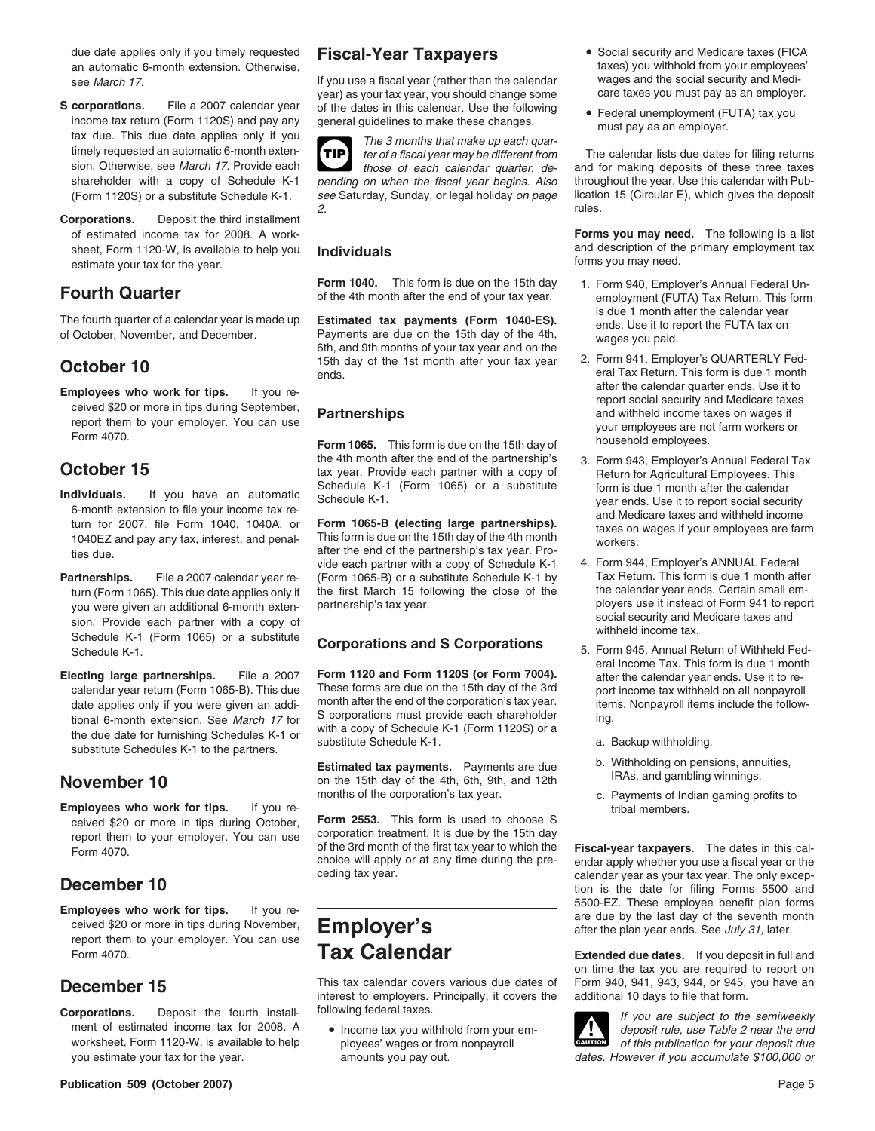due date applies only if you timely requested **Fiscal-Year Taxpayers** • Social security and Medicare taxes (FICA<br>an automatic 6-month extension. Otherwise, an automatic 6-month extension. Otherwise,<br>see March 17 vou use a fiscal vear (rather than the calendar wages and the social security and Medi-

- **S corporations.** File a 2007 calendar year of the dates in this calendar. Use the following income tax return (FUTA) tax you general guidelines to make these changes.<br>
tax due. This due date applies only if you timely re
- **Corporations.** Deposit the third installment sheet, Form 1120-W, is available to help you **Individuals Individuals** and description of the primary employment tax estimate your tax forms you may need.

- 
- **Partnerships.** File a 2007 calendar year re- (Form 1065-B) or a substitute Schedule K-1 by Tax Return. This form is due 1 month after first March 15 following the close of the the calendar year ends. Certain small em-<br>tur you were given an additional 6-month exten partnership's tax year. ployers use it instead of Form 941 to report<br>sion. Provide each partner with a copy of social security and Medicare taxes and<br>Schedule K-1 (Form 1065) or a
- calendar year return (Form 1065-B). This due These forms are due on the 15th day of the 3rd port income tax withheld on all nonpayroll<br>date applies only if you were given an addi-<br>tional 6-month extension. See *March 17* f

**Employees who work for tips.** If you re-<br>
ceived \$20 or more in tips during October **Form 2553.** This form is used to choose S

report them to your employer. You can use Form 4070. **Tax Calendar Extended due dates.** If you deposit in full and

**Corporations.** Deposit the fourth install-<br>ment of estimated income tax for 2008. A . Income tax you withhold from your em-<br>deposit rule, use Table 2 near the end ment of estimated income tax for 2008. A • Income tax you withhold from your worksheet, Form 1120-W, is available to help ployees' wages or from nonpayroll you estimate your tax for the year. <br>amounts you pay out. The states. However if you accumulate \$100,000 or

see March 17. See March 17. If you use a fiscal year (rather than the calendar wages and the social security and Medi-<br>vear) as your tax year, you should change some care taxes you must pay as an employer. year) as your tax year, you should change some

sion. Otherwise, see March 17. Provide each those of each calendar quarter, de- and for making deposits of these three taxes<br>shareholder with a copy of Schedule K-1 pending on when the fiscal vear begins. Also throughout t **TIP** shareholder with a copy of Schedule K-1 pending on when the fiscal year begins. Also throughout the year. Use this calendar with Pub-<br>(Form 1120S) or a substitute Schedule K-1. see Saturday, Sunday, or legal holiday on pag (Form 1120s) see Saturday, Sunday, or legal holiday on page lication issee Saturday, or legal holiday on page 2. rules.

**Fourth Quarter Form 1040.** This form is due on the 15th day 1. Form 940, Employer's Annual Federal Un-<br>of the 4th month after the end of your tax year. employment (FUTA) Tax Return. This form

The fourth quarter of a calendar year is made up **Estimated tax payments (Form 1040-ES).** is due 1 month after the calendar year ends. Use it to report the FUTA tax on of October, November, and December. Payments are due o

the 4th month after the end of the partnership's 3. Form 943, Employer's Annual Federal Tax<br>tax year. Provide each partner with a copy of Return for Agricultural Employees. This<br>Schedule K-1 (Form 1065) or a substitute for

1040EZ and pay any tax, interest, and penal-<br>after the end of the partnership's tax year. Pro-<br>morkers. after the end of the partnership's tax year. Provide each partner with a copy of Schedule K-1 4. Form 944, Employer's ANNUAL Federal<br>(Form 1065-B) or a substitute Schedule K-1 by Tax Return. This form is due 1 month after turn (Form 1065). This due date applies only if the first March 15 following the close of the the calendar year ends. Certain small em-<br>vou were given an additional 6-month exten. partnership's tax year.

**Electing large partnerships.** File a 2007 **Form 1120 and Form 1120S (or Form 7004).** after the calendar year ends. Use it to re-<br>calendar year return (Form 1065-B). This due These forms are due on the 15th day of the 3rd

**b. Withholding on pensions, annuities,**<br>**November 10** on the 15th day of the 4th, 6th, 9th, and 12th IRAs, and gambling winnings.<br>months of the corporation's tax year. **Changes** are expendent of Indian anning profits to

ceived \$20 or more in tips during October, **Form 2553.** This form is used to choose S report them to your employer. You can use corporation treatment. It is due by the 15th day<br>of the 3rd month of the first tax year to which the **Fiscal-year taxpayers.** The dates in this cal-<br>choice will apply or at any tim

- 
- 

of estimated income tax for 2008. A work- **Forms you may need.** The following is a list

- 
- 15th day of the 1st month after your tax year 2. Form 941, Employer's QUARTERLY Fed-<br>ends. ends. eral Tax Return. This form is due 1 month<br>after the calendar quarter ends. Use it to Employees who work for tips. If you re-<br>
ceived \$20 or more in tips during September,<br>
report them to your employer. You can use<br>
Form 1065. This form is due on the 15th day of the sales decurity and Medicare taxes<br>
Form 4
- **Individuals.** If you have an automatic Schedule K-1 (Form 1065) or a substitute form is due 1 month after the calendar<br>6-month extension to file your income tax re-<br>8-month extension to file your income tax re-<br>and Medica o-montriextension to life your income tax re-<br>turn for 2007, file Form 1040, 1040A, or **Form 1065-B (electing large partnerships).** and Medicare taxes and withheld income<br>1040EZ and pay any tax. interest, and penal-<br>This f
	-
	- eral Income Tax. This form is due 1 month
		-
		-
		- c. Payments of Indian gaming profits to

**December 10** ceding tax year. Calendar year as your tax year. The only excep-<br>tion is the date for filing Forms 5500 and **Employees who work for tips.** If you re-<br>
ceived \$20 or more in tips during November, **Employer's**<br>
react them to your employer Vou ser use. **Employer's** after the plan year ends. See *July 31*, later.

on time the tax you are required to report on **December 15** interest to employers various due dates of Form 940, 941, 943, 944, or 945, you have an interest to employers. Principally, it covers the additional 10 days to file that form.

> of this publication for your deposit due **!**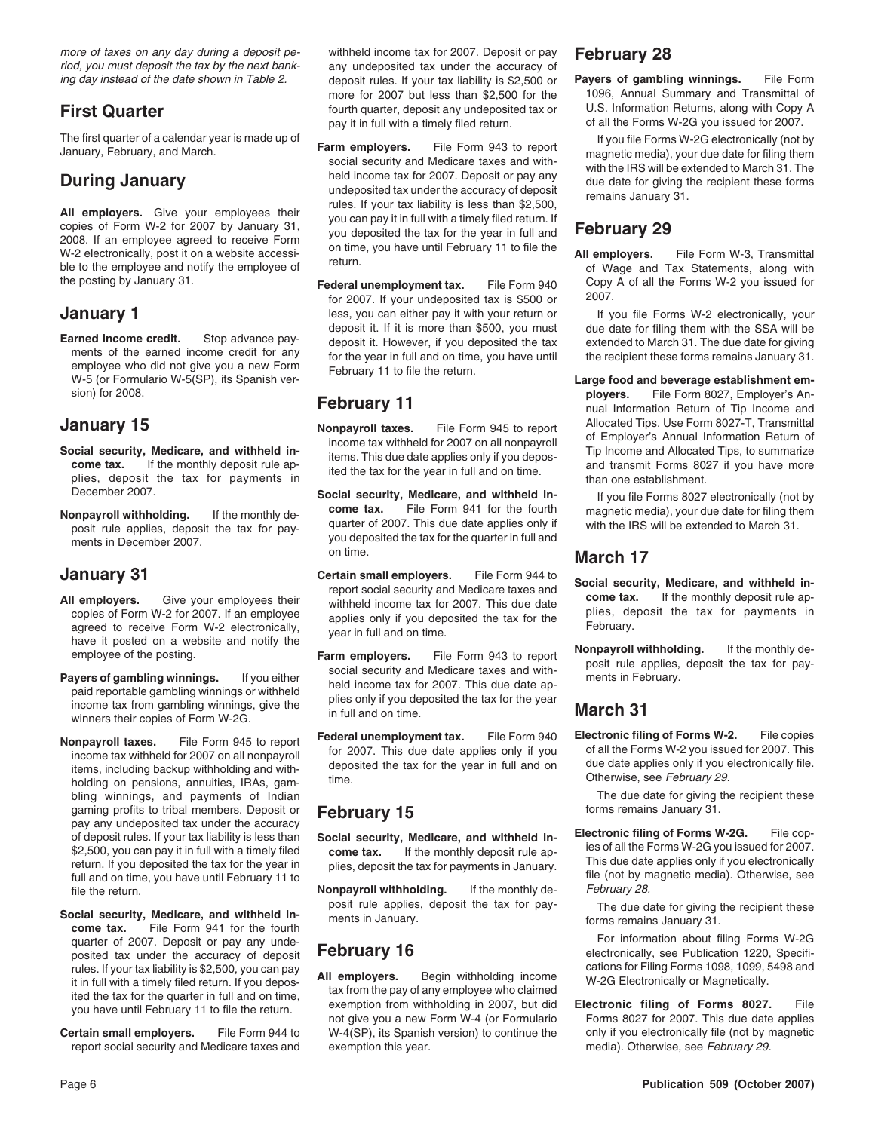more of taxes on any day during a deposit pe-<br>
riod, you must deposit the tax by the next bank- any undeposited tax under the accuracy of<br>
ing day instead of the date shown in Table 2. deposit rules. If your tax liability

Earned income credit. Stop advance pay-<br>
ments of the earned income credit for any<br>
eposit it. However, if you deposited the tax<br>
employee who did not give you a new Form<br>
W-5 (or Formulario W-5(SP), its Spanish ver-<br>
W-5

- 
- posit rule applies, deposit the tax for pay-

- 
- 
- bling winnings, and payments of Indian The due date for giving the recipient these gaming profits to tribal members. Deposit or **February 15** forms remains January 31.<br>pay any undeposited tax under the accuracy pay any undeposited tax under the accuracy<br>of deposit rules. If your tax liability is less than<br>\$2,500, you can pay it in full with a timely filed **come tax.** If the monthly deposit rule ap-<br>return. If you deposited the ta
- Social security, Medicare, and withheld in-<br>
come tax. File Form 941 for the fourth these<br>
cularter of 2007 Deposit or pay any unde-<br>
For information about filing Forms W-2G quarter of 2007. Deposit or pay any unde-<br>
posited tax under the accuracy of deposit **February 16** electronically, see Publication 1220, Specifiposited tax under the accuracy of deposit **February 16** electronically, see Publication 1220, Specifi-<br>rules If your tax liability is \$2,500, you can pay
- 

**fourth quarter First Quarter and Courth quarter**, deposit any undeposited tax or pay it in full with a timely filed return.

- The first quarter of a calendar year is made up of<br>
January, February, and March.<br> **During January**<br> **During January**<br> **During January**<br> **Curing Samuary**<br> **Curing Samuary**<br> **Curing Samuary**<br> **Curing Samuary**<br> **Curing Samua**
- for 2007. If your undeposited tax is \$500 or **January 1** less, you can either pay it with your return or If you file Forms W-2 electronically, your deposit it. If it is more than \$500, you must due date for filing them with the SSA will be

- 
- December 2007.<br> **Social security, Medicare, and withheld in-** If you file Forms 8027 electronically (not by<br> **Come tax.** File Form 941 for the fourth magnetic medial, your due date for filing them **Nonpayroll withholding.** If the monthly de-<br>**come tax.** File Form 941 for the fourth magnetic media), your due date for filing them<br>nosit rule annies denosit the tax for nay. quarter of 2007. This due date applies only if ments in December 2007.<br>
you deposited the tax for the quarter in full and<br>
on time.
- **January 31 Certain small employers.** File Form 944 to<br>
report social security and Medicare taxes and<br>
All employers. Give your employees their withheld income tax for 2007. This due date come tax. If the monthly deposit
- copies of Form W-2 for 2007. If an employee applies only if you deposited the tax for the agreed to receive Form W-2 electronically, wear in full and on time.<br>
And on time the positive of the positive of the positive of th
- **Nonpayroll taxes.** File Form 945 to report **Federal unemployment tax.** File Form 940 **Electronic filing of Forms W-2.** File copies income tax withheld for 2007 on all nonpayroll for 2007. This due date applies only if you

- 
- **Nonpayroll withholding.** If the monthly deposit rule applies, deposit the tax for pay-<br>posit rule applies, deposit the tax for pay-

Trules. If your tax liability is \$2,500, you can pay<br>it in full with a timely filed return. If you deposited the tax for the quarter in full and on time,<br>you have until February 11 to file the return.<br>you have until Februa **Certain small employers.** File Form 944 to W-4(SP), its Spanish version) to continue the only if you electronically file (not by magnetic report social security and Medicare taxes and exemption this year. The media). Otherwise, see February 29.

deposit rules. If your tax liability is \$2,500 or **Payers of gambling winnings.** File Form more for 2007 but less than \$2.500 for the 1096, Annual Summary and Transmittal of more for 2007 but less than \$2,500 for the 1096, Annual Summary and Transmittal of fourth quarter, deposit any undeposited tax or U.S. Information Returns, along with Copy A of all the Forms W-2G you issued for 2007.

the posting by January 31. **Federal unemployment tax.** File Form 940 Copy A of all the Forms W-2 you issued for<br>for 2007. If your undeposited tax is \$500 or 2007.

sion) for 2008. **ployers.** File Form 8027, Employer's An- **February 11** nual Information Return of Tip Income and **January 15**<br>
Social security, Medicare, and withheld in-<br>
Social security, Medicare, and withheld in-<br>
Social security, Medicare, and withheld in-<br>
social security, Medicare, and withheld in-<br>
tiems. This due date applies

### March 17

- 
- 

return. If you deposited the tax for the year in plies, deposit the tax for payments in January.<br>
full and on time, you have until February 11 to **information** the the return. This due date applies only if you electronical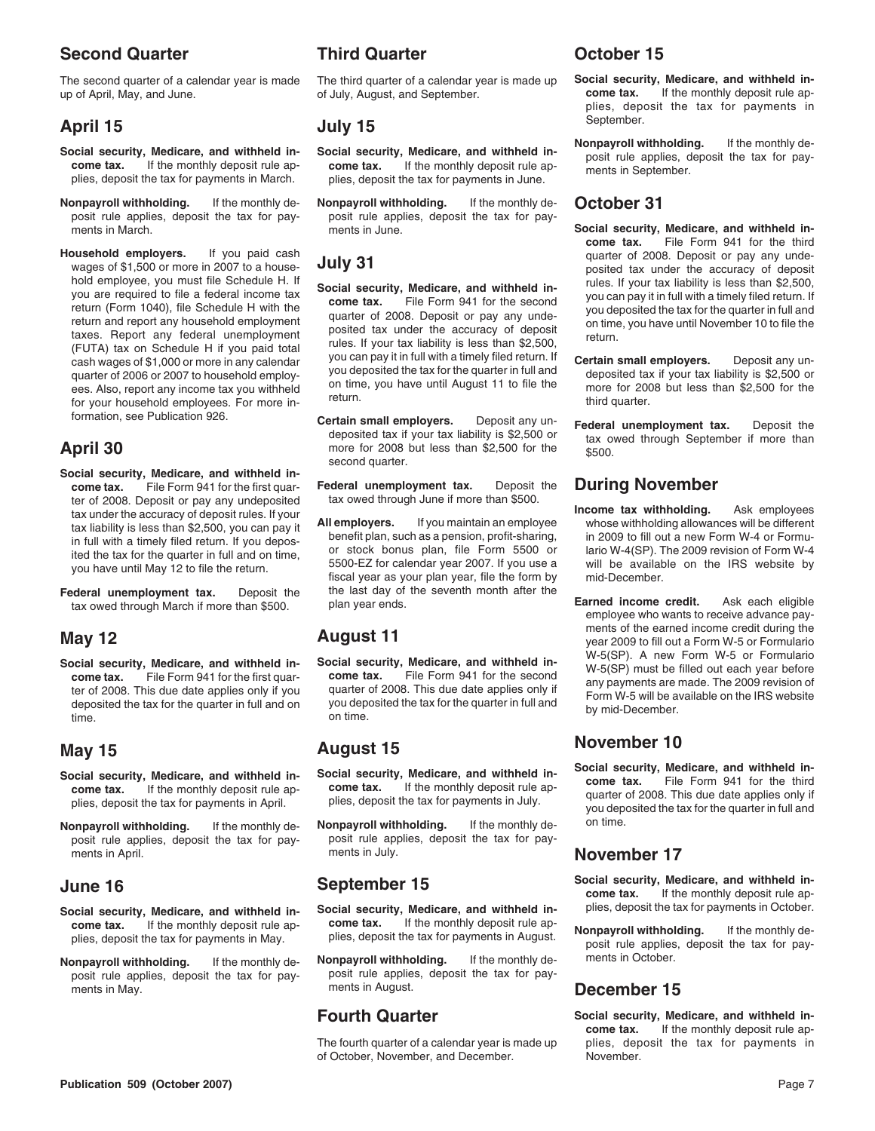**Second Quarter Third Quarter October 15**

### April 15 September.

- 
- posit rule applies, deposit the tax for pay-<br>ments in March.
- hold employee, you must file Schedule H. If<br>you are required to file a federal income tax<br>return (Form 1040), file Schedule H with the<br>return and report any household employment<br>taxes. Report any federal unemployment<br>(FUTA for your household employees. For more in-<br>formation, see Publication 926. **Cortain amall amployers** Repeated Publication 2016.

- **Social security, Medicare, and withheld in-<br>
<b>come tax.** File Form 941 for the first quar**come tax.** File Form 941 for the first quar-<br> **Figure 1 Come tax.** Deposit the **During November**<br> **Figure 1 come than \$500.**
- **Federal unemployment tax.** Deposit the the last day of the seventh month after the tax owed through March if more than \$500 plan year ends.

- 
- posit rule applies, deposit the tax for pay-<br>ments in April.<br>ments in July. ments in April. **November 17 november 17 november 17**

- 
- posit rule applies, deposit the tax for pay-<br>ments in May, ments in August. ments in May. **December 15** ments in August. **December 15**

up of April, May, and June. **come tax.** of July, August, and September. **come tax. come tax.** 

- 
- **Nonpayroll withholding.** If the monthly de- **Nonpayroll withholding.** If the monthly de- **October 31**

- (FUTA) tax on Schedule H if you paid total<br>cash wages of \$1,000 or more in any calendar<br>quarter of 2006 or 2007 to household employ-<br>quarter of 2006 or 2007 to household employ-<br>on time, you have until August 11 to file th ees. Also, report any income tax you withheld on time, you have until August 11 to file the more for 2008 but less than \$2,500 for the
- formation, see Publication 926. **Certain small employers.** Deposit any un-<br>**April 30 Certain small employers.** Deposited the deposited tax if your tax liability is \$2,500 or the tax owed through September if more than m second quarter.
	-
	-

**Social security, Medicare, and withheld in-**<br> **Social security, Medicare, and withheld in-**<br> **Social security, Medicare, and withheld in-**<br> **Come tax.** File Form 941 for the second<br>
ter of 2008. This due date applies onl

- 
- **Nonpayroll withholding.** If the monthly de-<br>no time. **Nonpayroll withholding.** If the monthly de-<br>nosit rule applies, deposit the tax for pay-

- **Social security, Medicare, and withheld in-** Social security, Medicare, and withheld in- plies, deposit the tax for payments in October.<br> **Social security, Medicare, and withheld in- Social security, Medicare, and withh**
- **Nonpayroll withholding.** If the monthly de-<br>posit rule applies, deposit the tax for pay-<br>posit rule applies, deposit the tax for pay-

of October, November, and December. November.

- The second quarter of a calendar year is made The third quarter of a calendar year is made up **Social security, Medicare, and withheld in**plies, deposit the tax for payments in
- Social security, Medicare, and withheld in-<br>
social security, Medicare, and withheld in-<br>
posit rule applies, deposit the tax for payments in March.<br>
plies, deposit the tax for payments in March.<br>
plies, deposit the tax fo

- ments in June.<br>**Social security, Medicare, and withheld in-**<br>**Social security, Medicare, and withheld in-**<br>**Social security, Medicare, and withheld in-**File Form 941 for the third **Household employers.** If you paid cash **July 31** quarter of 2008. Deposit or pay any unde-<br>mages of \$1,500 or more in 2007 to a house-<br>hold employee, you must file Schedule H. If **Contract accuracy of deposited tax under** 
	-
	-

- the star under the accuracy of deposit rules. If your aintain an employee tax withholding. Ask employees<br>tax liability is less than \$2,500, you can pay it<br>in full with a timely filed return. If you deposited the data pensi
- plan year ends. **Earned income credit.** Ask each eligible tax owed through March if more than \$500. employee who wants to receive advance pay-**May 12 August 11 August 11 August 11** year 2009 to fill out a Form W-5 or Formulario **August 11** year 2009 to fill out a Form W-5 or Formulario

# **August 15 November 10 May 15**

**Social security, Medicare, and withheld in-**<br>**Social security, Medicare, and withheld in-**<br>**come tax.** If the monthly deposit rule ap-<br>**Come tax.** If the monthly deposit rule ap-<br>a come tax. The Form 941 for the third come tax. If the monthly deposit fulle applies, deposit the tax for payments in April.<br>plies, deposit the tax for payments in April. plies, deposit the tax for payments in July.<br>and deposited the tax for the quarter in ful

- **Social security, Medicare, and withheld in- September 15 come tax.** If the monthly deposit rule ap-<br> **September 15 come tax.** If the monthly deposit rule ap
	- come tax. If the monthly deposit rule applies, deposit the tax for payments in May.<br>
	plies, deposit the tax for payments in May. plies, deposit the tax for payments in August.<br> **Compayrell unitable line** is in October.

**Fourth Quarter Social security, Medicare, and withheld in-**<br> **Social security, Medicare, and withheld in-**<br> **Social security, Medicare, and withheld in-**If the monthly deposit rule ap-The fourth quarter of a calendar year is made up plies, deposit the tax for payments in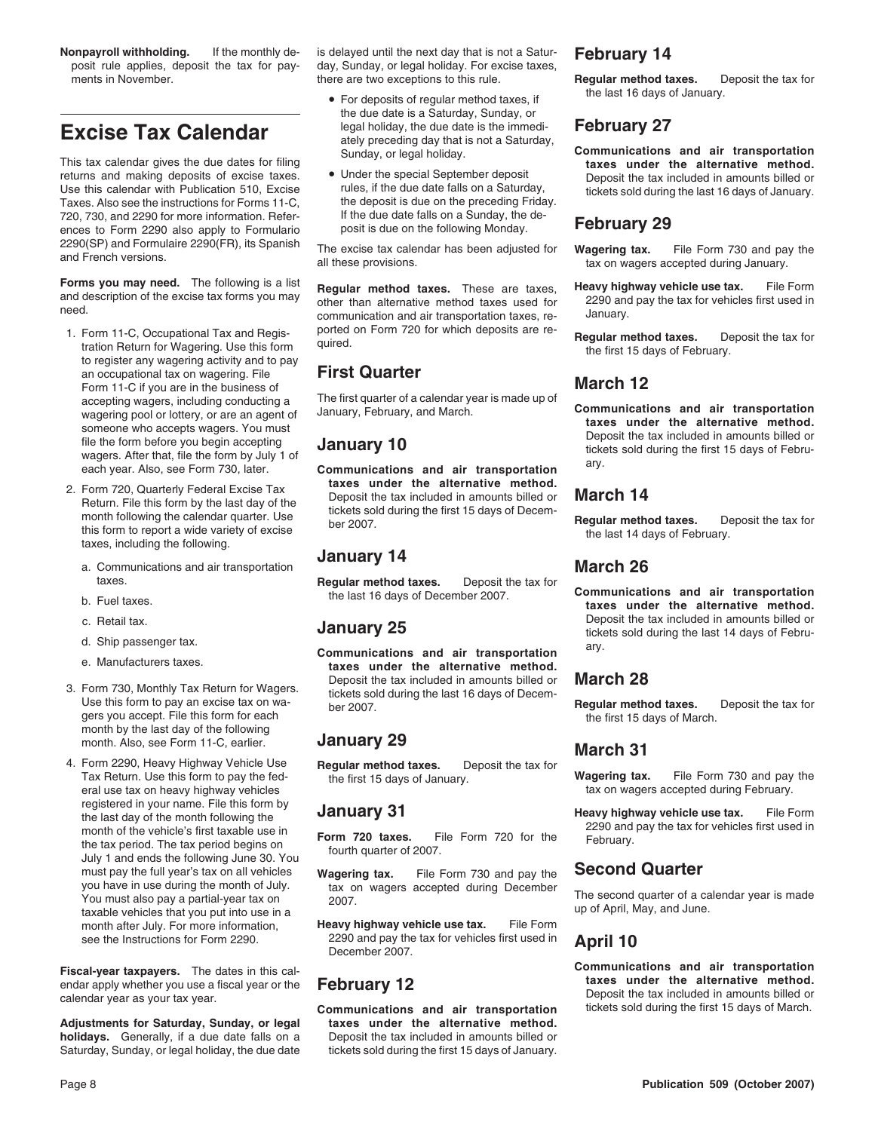returns and making deposits of excise taxes. • Under the special September deposit in Deposit the tax included in amounts billed or<br>Use this calendar with Publication 510. Excise rules, if the due date falls on a Saturday, Use this calendar with Publication 510, Excise rules, if the due date falls on a Saturday, tickets sold during the last 16 days of January.<br>Taxes, Also see the instructions for Forms 11-C, the deposit is due on the precedi Taxes. Also see the instructions for Forms 11-C, the deposit is due on the preceding Frida<br>T20, 730, and 2290 for more information. Refer-<br>The due date falls on a Sunday, the de-720, 730, and 2290 for more information. Refer-<br>ences to Form 2290 also apply to Formulario posit is due on the following Monday. ences to Form 2290 also apply to Formulario posit is due on the following Monday. **February 29**<br>ences to Form 2290 also apply to Formulario posit is due on the following Monday. 2290(SP) and Formulaire 2290(FR), its Spanish The excise tax calendar has been adjusted for **Wagering tax.** File Form 730 and pay the and French versions. all these provisions. tax on wagers accepted during January.

**Forms you may need.** The following is a list **Regular method taxes.** These are taxes, **Heavy highway vehicle use tax.** File Form and description of the excise tax forms you may other than alternative method taxes used for

- 1. Form 11-C, Occupational Tax and Regis-<br>tration Return for Wagering. Use this form quired.<br>to register any wagering activity and to pay  $\frac{1}{2}$ ,  $\frac{1}{2}$ ,  $\frac{1}{2}$ ,  $\frac{1}{2}$ ,  $\frac{1}{2}$ ,  $\frac{1}{2}$ ,  $\frac{1}{2}$ ,  $\frac{1}{$ an occupational tax on wagering. File **First Quarter** Form 11-C if you are in the business of **March 12** wagering pool or lottery, or are an agent of January, February, and March.<br>
someone who accepts wagers. You must<br>
file the form before you begin accepting<br>
wagers. After that, file the form by July 1 of tickets sold during
- 2. Form 720, Quarterly Federal Excise Tax taxes under the alternative method.<br>
Return. File this form by the last day of the Deposit the tax included in amounts billed or **March 14**<br>
month following the calendar quarter.
	- taxes, including the following.<br>a. Communications and air transportation<br>**Regular method taxes.** Deposit the tax for<br>**Regular method taxes.** Deposit the tax for
	-
	-
	-
	-
- 3. Form 730, Monthly Tax Return for Wagers.<br>
Use this form to pay an excise tax on wa-<br>
gers you accept. File this form for each ber 2007.<br>
gers you accept. File this form for each ber 2007.<br>
gers you accept. File this fo month by the last day of the following month. Also, see Form 11-C, earlier.<br>
Form 2290, Heavy Highway Vehicle Use **Regular method taxes.** Deposit the tax for
- 4. Form 2290, Heavy Highway Vehicle Use eral use tax on heavy highway vehicles registered in your name. File this form by<br>the last day of the month following the<br>month of the vehicle's first taxable use in<br>the tax period. The tax period begins on **Form 720 taxes**. File Form 720 for the 2290 and pay t must pay the full year's tax on all vehicles **Wagering tax.** File Form 730 and pay the **Second Quarter** you have in use during the month of July.<br>You must also pay a partial-year tax on  $2007$ .<br>taxable vehicles that you put into use in a same appoon of April, May, and June.<br>month after July. For more information. **Heavy high** month after July. For more information,

Adjustments for Saturday, Sunday, or legal **holidays.** Generally, if a due date falls on a Deposit the tax included in amounts billed or Saturday, Sunday, or legal holiday, the due date tickets sold during the first 15 days of January.

**Nonpayroll withholding.** If the monthly de- is delayed until the next day that is not a Satur- **February 14** posit rule applies, deposit the tax for pay- day, Sunday, or legal holiday. For excise taxes, ments in November. **there are two exceptions to this rule. Regular method taxes.** Deposit the tax for

- the last 16 days of January. For deposits of regular method taxes, if the due date is a Saturday, Sunday, or **Excise Tax Calendar Excise Tax Calendar Excise Tax** Calendar at *Excise Ately preceding day that is not a Saturday*,
	-

and description of the excise tax forms you may<br>need. communication and air transportation taxes, re- January.<br>1 Form 11-C. Occupational Tax and Begis- ported on Form 720 for which deposits are re-

accepting wagers, including conducting a<br>wagering pool or lottery, or are an agent of January, February, and March.

**Regular method taxes.** 

- 
- 
- see the Instructions for Form 2290. 2290 and pay the tax for vehicles first used in **April 10** December 2007.

**Communications and air transportation<br>taxes under the alternative method.** 

Sunday, or legal holiday. **Communications and air transportation** This tax calendar gives the due dates for filing taxes and taxes under the alternative method.<br>
The mass and making deposits of excise taxes. • Under the special September deposit

- 
- 
- 

the last 16 days of December 2007. **Communications and air transportation**<br> **c** Betail tax **taxes** under the alternative method.<br> **C** Betail tax included in amounts billed or c. Retail tax.<br>
d. Ship passenger tax.<br>
d. Ship passenger tax.<br> **Communications and air transportation** ary.<br> **Communications and air transportation** ary.<br>
taxes under the alternative method.

- Tax Return. Use this form to pay the fed-<br>eral use tax on heavy highway vehicles the first 15 days of January.<br>eral use tax on wagers accepted during February.
	-

**Fiscal-year taxpayers.** The dates in this cal-<br> **Fiscal-year taxpayers.** The dates in this cal-<br> **Figure 12 Figure 12 Figure 12 Example 12 Figure 12 Figure 12 Figure 12 Figure 12 Figure 12 Figure 12 Fi** taxes under the alternative method.<br>Calendar year as your tax year.<br>Communications and air transportation tickets sold during the first 15 days of March.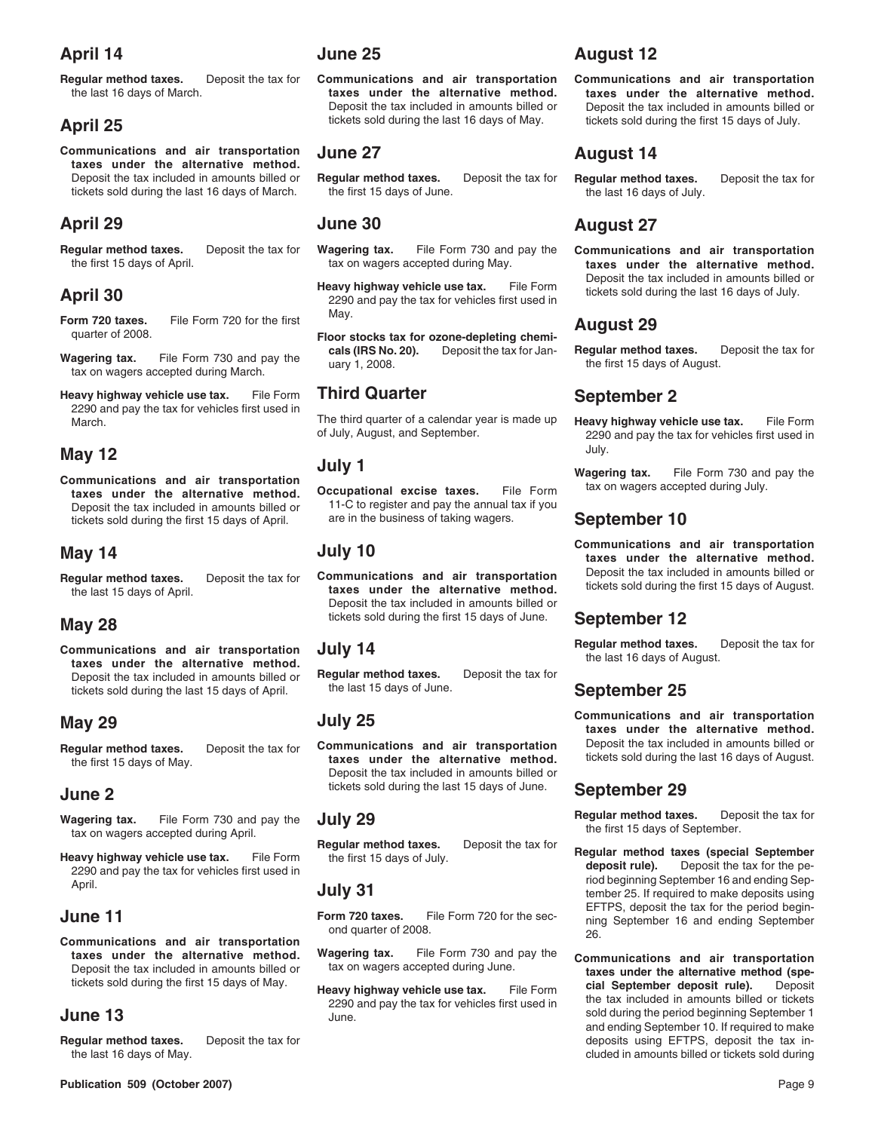**Communications and air transportation June 27 August 14 taxes under the alternative method.**

- **Form 720 taxes.** File Form 720 for the first May.<br> **Floor stocks tax for ozone-depleting chemi-**<br> **Floor stocks tax for ozone-depleting chemi-**<br> **Cals (IRS No. 20).** Deposit the tax for Jan-<br> **Proposit the tax for Jan-** R
- **Wagering tax.** File Form 730 and pay the **cals (IRS No. 20).** Deposit the tax for Jan- **Regular method taxes.** Deposit the tax for<br>tax on wagers accepted during March. uary 1, 2008.
- **Heavy highway vehicle use tax.** File Form **Third Quarter September 2**<br>2290 and pay the tax for vehicles first used in<br>March. March. **Institute are the sect of a calendar year** is made up **Heavy highway vehicle use tax.**

**Communications and air transportation**<br>taxes under the alternative method. Occupational excise taxes. File Form tax on wagers accepted during July.<br>Deposit the tax included in amounts billed or 11-C to register and pay th Deposit the tax included in amounts billed or  $11-C$  to register and pay the annual tickets sold during the first 15 days of April.  $\qquad$  are in the business of taking wagers.

**Communications and air transportation <b>July 14 Regular method taxes.** Deposit the tax for **the tax included in amounts billed or Regular method taxes.** Deposit the last 16 days of August. Deposit the tax included in a Deposit the tax included in amounts billed or **Regular method taxes.** tickets sold during the last 15 days of June. tickets sold during the last 15 days of April. The last 15 days of June. September 25

- **Wagering tax.** File Form 730 and pay the **July 29 Regular method taxes.** Deposit the tax for the first 15 days of September.<br> **Regular method taxes.** Deposit the tax for **Regular of the first 15 days of September.**
- 

the last 16 days of May. cluded in amounts billed or tickets sold during

**Regular method taxes.** Deposit the tax for **Communications and air transportation Communications and air transportation** the last 16 days of March. **taxes under the alternative method. taxes under the alternative method.**

Deposit the tax included in amounts billed or **Regular method taxes.** Deposit the tax for **Regular method taxes.** Deposit the tax for tickets sold during the last 16 days of March. the first 15 days of June. The last 16 days of July.

- **Regular method taxes.** Deposit the tax for **Wagering tax.** File Form 730 and pay the **Communications and air transportation**
	-
	-

tickets sold during the first 15 days of April. **September 10** are in the business of taking wagers. **September 10** 

Regular method taxes. Deposit the tax for **Communications and air transportation** Deposit the tax included in amounts billed or<br>taxes under the alternative method. tickets sold during the first 15 days of August. Deposit the tax included in amounts billed or **May 28 May 28 tickets sold during the first 15 days of June.** September 12

Deposit the tax included in amounts billed or tickets sold during the last 15 days of June. **September 29 June 2**

- 
- **taxes under the alternative method. Wagering tax.** File Form 730 and pay the **Communications and air transportation**
- 2290 and pay the tax for vehicles first used in **June 13** Sold during the period beginning September 1 June.

### **April 14 June 25 August 12**

Deposit the tax included in amounts billed or Deposit the tax included in amounts billed or tickets sold during the last 16 days of May.<br>tickets sold during the last 16 days of May. April 25 **April 25** tickets sold during the last 16 days of May. tickets sold during the first 15 days of July.

### **April 29 June 30 August 27**

taxes under the alternative method. Deposit the tax included in amounts billed or<br>**April 30 April 30 1999 and pay the tax for vehicles first used in** tickets sold during the last 16 days of July.

- March.<br>March. The third quarter of a calendar year is made up<br>of July, August, and September. 2290 and pay the tax for vehicles first used in 2290 and pay the tax for vehicles first used in
- July. **May 12 July 1 Wagering tax.** File Form 730 and pay the **Communications and air transportation**

**Communications and air transportation May 14 July 10 taxes under the alternative method.**

**Communications and air transportation May 29 July 25 taxes under the alternative method.** Regular method taxes. Deposit the tax for Communications and air transportation Deposit the tax included in amounts billed or<br>the first 15 days of May. the first 15 days of May.

- 
- **Example 16 All September**<br> **Regular method taxes.** Deposit the tax for<br>
2290 and pay the tax for vehicles first used in<br>
April.<br>
April.<br> **July 31**<br>
April Bernamic September 16 and ending September 16 and ending September EFTPS, deposit the tax for the period begin- **June 11 Form 720 taxes.** File Form 720 for the sec- ning September 16 and ending September ond quarter of 2008. 26. **Communications and air transportation**
- taxes under the alternative method (spetickets sold during the first 15 days of May.<br>**Heavy highway vehicle use tax.** File Form **cial September deposit rule).** Deposit **Heavy highway vehicle use tax.** File Form **changes** the tax included in amounts billed or ti and ending September 10. If required to make **Regular method taxes.** Deposit the tax for deposits using EFTPS, deposit the tax in-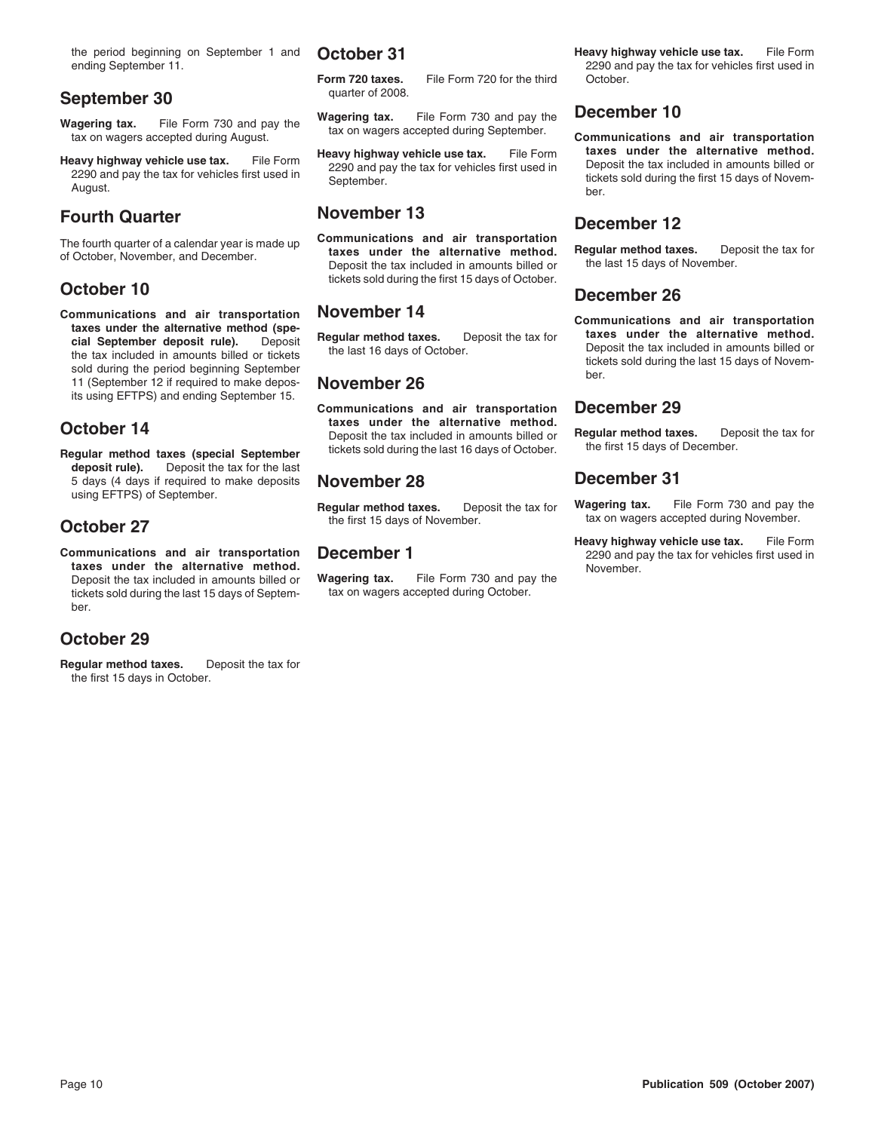the period beginning on September 1 and **October 31 Heavy highway vehicle use tax.** File Form<br>ending September 11. 2290 and pay the tax for vehicles first used in

### September 30 **September 30 September 30**

Wagering tax. File Form 730 and pay the wagering tax. The Form 750 and pay the **constructions of the september.**<br>tax on wagers accepted during September. **Communications and air transportation** 

# **Fourth Quarter November 13 December 12**

Communications and air transportation<br>
taxes under the alternative method (spe-<br>
cial September deposit rule). Deposit Regular method taxes. Deposit the tax for<br>
the tax included in amounts billed or tickets<br>
sold during t its using EFTPS) and ending September 15.

Regular method taxes (special September **deposit rule).** Deposit the tax for the last 5 days (4 days if required to make deposits **November 28 December 31** using EFTPS) of September.

**Communications and air transportation December 1** 2290 and pay the tax for vehicles first used in taxes under the alternative method. **taxes under the alternative method.**<br>Deposit the tax included in amounts billed or **Wagering tax.** File Form 730 and pay the Deposit the tax included in amounts billed or **Wagering tax.** File Form 730 and pay tickets sold during the last 15 days of Septem- tax on wagers accepted during October. tickets sold during the last 15 days of September.

### **October 29**

**Regular method taxes.** Deposit the tax for the first 15 days in October.

Form 720 taxes. File Form 720 for the third October.

- **Wagering tax.** File Form 730 and pay the **December 10**
- 

The fourth quarter of a calendar year is made up<br>of October, November, and December.<br>Deposit the tax included in amounts billed or the last 15 days of November. tickets sold during the first 15 days of October. **October 10 December 26**

**Communications and air transportation December 29 October 14** Begins the taxes under the alternative method.<br>Deposit the tax included in amounts billed or **Regular method taxes.** Deposit the tax for<br>**Regular method taxes** (special September tickets sold during the last 1

**October 27** The first 15 days of November.<br>
the first 15 days of November.<br>
Heavy highway vehicle use tax. File Form

2290 and pay the tax for vehicles first used in

**Heavy highway vehicle use tax.** File Form **taxes under the alternative method.**<br>2290 and pay the tax for vehicles first used in Deposit the tax included in amounts billed or Heavy highway vehicle use tax. File Form 2290 and pay the tax for vehicles first used in<br>2290 and pay the tax for vehicles first used in<br>August.<br>Beptember. ber. but the tax included in amounts billed or<br>ber.

- **Regular method taxes.** Deposit the tax for **Wagering tax.** File Form 730 and pay the
	- **Heavy highway vehicle use tax.**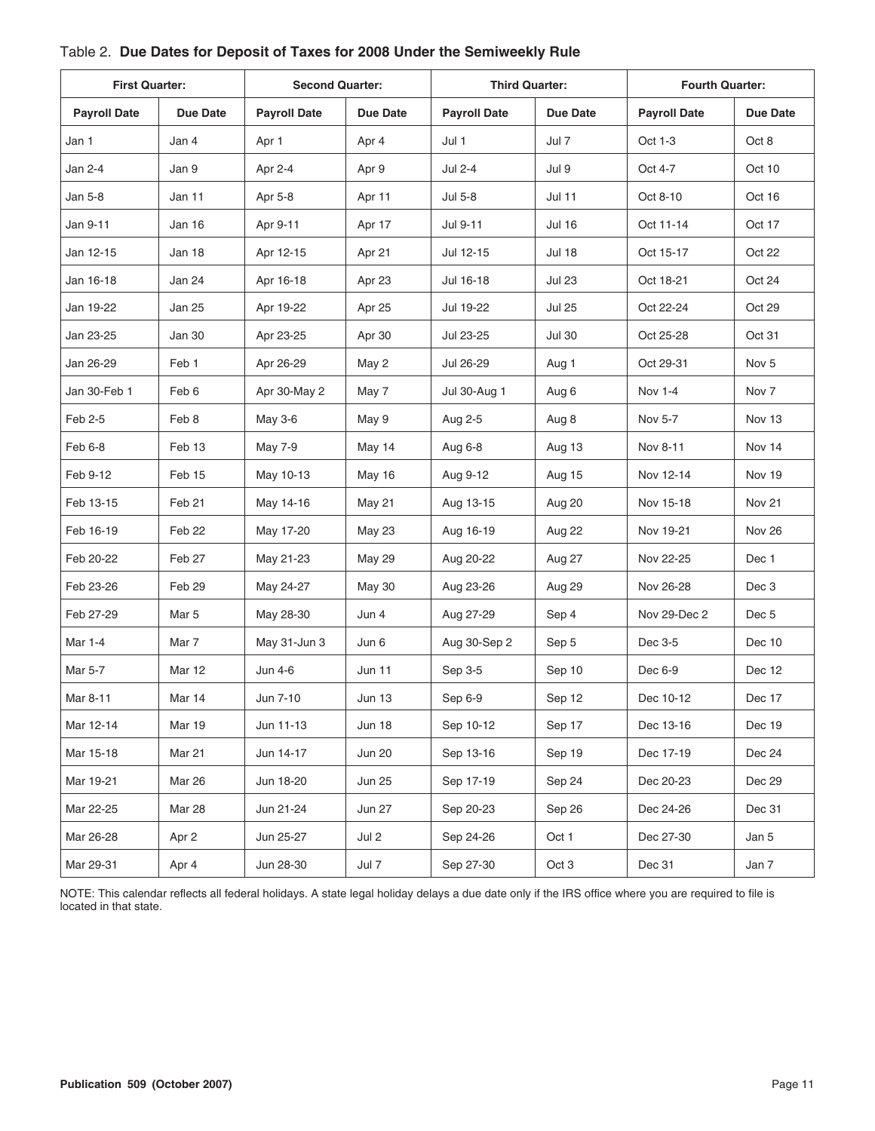| <b>First Quarter:</b> |                 | <b>Second Quarter:</b> |                 | <b>Third Quarter:</b> |                 | <b>Fourth Quarter:</b> |                  |
|-----------------------|-----------------|------------------------|-----------------|-----------------------|-----------------|------------------------|------------------|
| <b>Payroll Date</b>   | <b>Due Date</b> | <b>Payroll Date</b>    | <b>Due Date</b> | <b>Payroll Date</b>   | <b>Due Date</b> | <b>Payroll Date</b>    | <b>Due Date</b>  |
| Jan 1                 | Jan 4           | Apr 1                  | Apr 4           | Jul 1                 | Jul 7           | Oct 1-3                | Oct 8            |
| Jan 2-4               | Jan 9           | Apr 2-4                | Apr 9           | <b>Jul 2-4</b>        | Jul 9           | Oct 4-7                | Oct 10           |
| Jan 5-8               | Jan 11          | Apr 5-8                | Apr 11          | Jul 5-8               | <b>Jul 11</b>   | Oct 8-10               | Oct 16           |
| Jan 9-11              | Jan 16          | Apr 9-11               | Apr 17          | Jul 9-11              | <b>Jul 16</b>   | Oct 11-14              | Oct 17           |
| Jan 12-15             | Jan 18          | Apr 12-15              | Apr 21          | Jul 12-15             | <b>Jul 18</b>   | Oct 15-17              | Oct 22           |
| Jan 16-18             | Jan 24          | Apr 16-18              | Apr 23          | Jul 16-18             | <b>Jul 23</b>   | Oct 18-21              | Oct 24           |
| Jan 19-22             | <b>Jan 25</b>   | Apr 19-22              | Apr 25          | Jul 19-22             | <b>Jul 25</b>   | Oct 22-24              | Oct 29           |
| Jan 23-25             | Jan 30          | Apr 23-25              | Apr 30          | Jul 23-25             | <b>Jul 30</b>   | Oct 25-28              | Oct 31           |
| Jan 26-29             | Feb 1           | Apr 26-29              | May 2           | Jul 26-29             | Aug 1           | Oct 29-31              | Nov <sub>5</sub> |
| Jan 30-Feb 1          | Feb 6           | Apr 30-May 2           | May 7           | <b>Jul 30-Aug 1</b>   | Aug 6           | Nov 1-4                | Nov 7            |
| Feb 2-5               | Feb 8           | May 3-6                | May 9           | Aug 2-5               | Aug 8           | Nov 5-7                | Nov 13           |
| Feb 6-8               | Feb 13          | May 7-9                | May 14          | Aug 6-8               | Aug 13          | Nov 8-11               | Nov 14           |
| Feb 9-12              | Feb 15          | May 10-13              | May 16          | Aug 9-12              | Aug 15          | Nov 12-14              | Nov 19           |
| Feb 13-15             | Feb 21          | May 14-16              | May 21          | Aug 13-15             | Aug 20          | Nov 15-18              | <b>Nov 21</b>    |
| Feb 16-19             | Feb 22          | May 17-20              | May 23          | Aug 16-19             | Aug 22          | Nov 19-21              | <b>Nov 26</b>    |
| Feb 20-22             | Feb 27          | May 21-23              | <b>May 29</b>   | Aug 20-22             | Aug 27          | Nov 22-25              | Dec 1            |
| Feb 23-26             | Feb 29          | May 24-27              | May 30          | Aug 23-26             | Aug 29          | Nov 26-28              | Dec 3            |
| Feb 27-29             | Mar 5           | May 28-30              | Jun 4           | Aug 27-29             | Sep 4           | Nov 29-Dec 2           | Dec 5            |
| Mar 1-4               | Mar 7           | May 31-Jun 3           | Jun 6           | Aug 30-Sep 2          | Sep 5           | Dec 3-5                | Dec 10           |
| Mar 5-7               | Mar 12          | Jun 4-6                | <b>Jun 11</b>   | Sep 3-5               | Sep 10          | Dec 6-9                | Dec 12           |
| Mar 8-11              | Mar 14          | Jun 7-10               | <b>Jun 13</b>   | Sep 6-9               | Sep 12          | Dec 10-12              | Dec 17           |
| Mar 12-14             | Mar 19          | Jun 11-13              | Jun 18          | Sep 10-12             | Sep 17          | Dec 13-16              | Dec 19           |
| Mar 15-18             | Mar 21          | Jun 14-17              | <b>Jun 20</b>   | Sep 13-16             | Sep 19          | Dec 17-19              | Dec 24           |
| Mar 19-21             | <b>Mar 26</b>   | Jun 18-20              | <b>Jun 25</b>   | Sep 17-19             | Sep 24          | Dec 20-23              | Dec 29           |
| Mar 22-25             | <b>Mar 28</b>   | Jun 21-24              | <b>Jun 27</b>   | Sep 20-23             | Sep 26          | Dec 24-26              | Dec 31           |
| Mar 26-28             | Apr 2           | Jun 25-27              | Jul 2           | Sep 24-26             | Oct 1           | Dec 27-30              | Jan 5            |
| Mar 29-31             | Apr 4           | Jun 28-30              | Jul 7           | Sep 27-30             | Oct 3           | Dec 31                 | Jan 7            |

### Table 2. **Due Dates for Deposit of Taxes for 2008 Under the Semiweekly Rule**

NOTE: This calendar reflects all federal holidays. A state legal holiday delays a due date only if the IRS office where you are required to file is located in that state.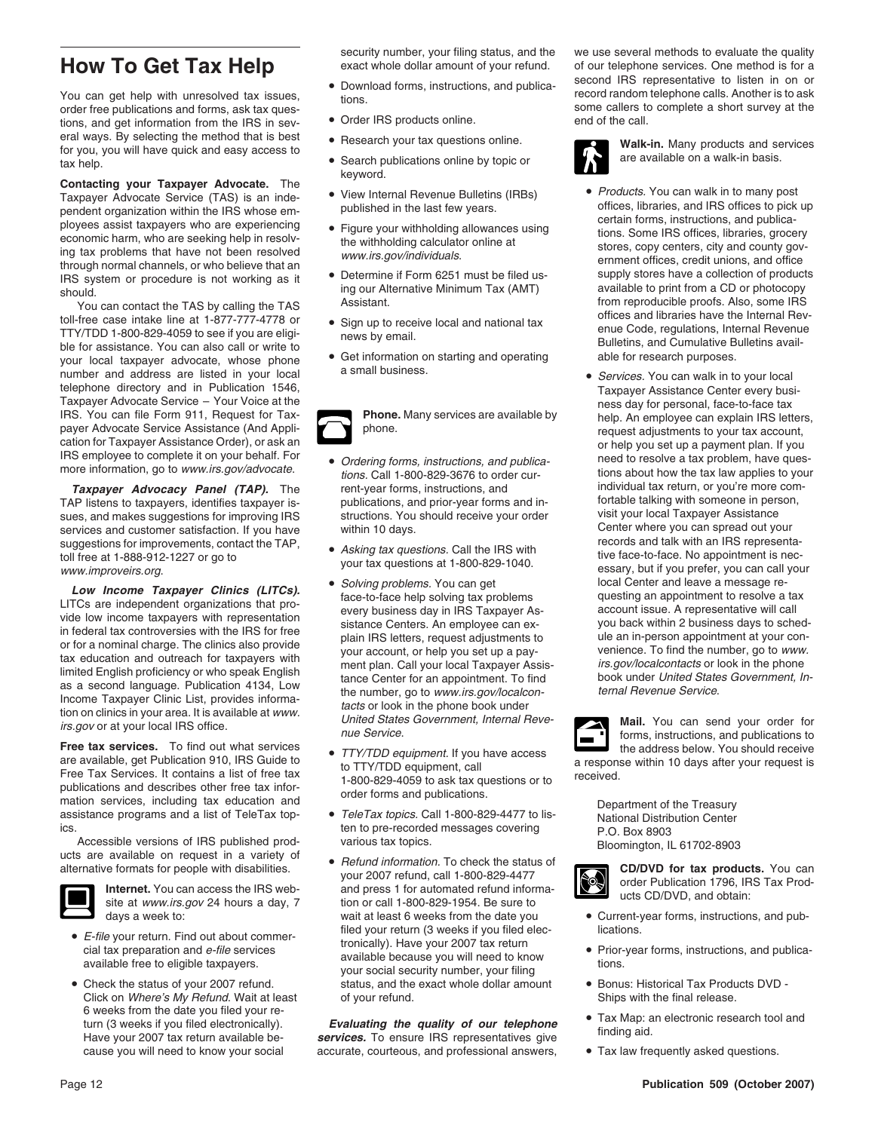order free publications and forms, ask tax ques- some callers to complete a short survey at the tions, and get information from the IRS in sev-

Favily in the method that is best<br>
tax help.<br>
Search publications online by topic or<br>
tax help.<br>
Taxpayer Advocate Service (TAS) is an inde-<br>
Taxpayer Advocate Service (TAS) is an inde-<br>
Paxpayer Advocate Service (TAS) is

Vou can contact the TAS by calling the TAS<br>
toll-free case intake line at 1-877-777-4778 or<br>
TTY/TDD 1-800-829-4059 to see if you are eligi-<br>
ble for assistance. You can also call or write to<br>
your local taxpayer advocate, telephone directory and in Publication 1546, Taxpayer Assistance Center every busi-Taxpayer Advocate Service – Your Voice at the ness day for personal, face-to-face tax<br>IRS. You can file Form 911, Request for Tax-<br>Phone. Many services are available by help. An employee can explain IRS letter IRS. You can file Form 911, Request for Tax-<br>
payer Advocate Service Assistance (And Appli-<br>
phone. The available by the prequest adjustments to your tax account.

TAP listens to taxpayers, identifies taxpayer is-<br>sues and makes suggestions for improving IRS structions. You should receive your order visit your local Taxpayer Assistance sues, and makes suggestions for improving IRS structions. You should receive your order visit your local Taxpayer Assistance<br>services and customer satisfaction. If you have within 10 days. services and customer satisfaction. If you have within 10 days.<br>Suggestions for improvements, contact the TAP, exercise is a serve of the suggestion of the TAP suggestions for improvements, contact the TAP,

Free tax services. To find out what services<br>are available, get Publication 910, IRS Guide to<br>Free Tax Services. It contains a list of free tax<br>publications and describes other free tax infor-<br>mation services, including ta



- 
- Click on *Where's My Refund*. Wait at least of your refund. Ships with the final release.<br>
6 weeks from the date you filed your re-<br>
6 Toy Map: an electronic rece turn (3 weeks if you filed electronically).<br> **Evaluating the quality of our telephone** Tax Map: an electronic research tool and<br>
Have your 2007 tax return available be-<br> **Services.** To ensure IRS representatives give<br>
Have

- 
- 
- 
- 
- 
- 
- 
- 
- 

- Taxpayer Advocacy Panel (TAP). The rent-year forms, instructions, and inertural tax return, or you're more com-<br>IP listens to taxpayers, identifies taxpayer is- publications, and prior-year forms and in- fortable talking w
	-
- **LOW Income Taxpayer Clinics (LITCs).** Solving problems. You can get<br>
LITCs are independent organizations that provide low income taxpayer with representation<br>
in federal ax controversies with the IRS for free the solve an
	-
- assistance programs and a list of TeleTax top-<br>ics. ten to pre-recorded messages covering P.O. Box 8903<br>Accessible versions of IRS published prod- various tax topics. Accessible versions of IRS published prod- various tax
- Accessible versions of IRS published products<br>ucts are available on request in a variety of<br>alternative formats for people with disabilities.<br>Internet. You can access the IRS web-<br>site at www.irs.gov 24 hours a day, 7 tion days a week to: wait at least 6 weeks from the date you **•** Current-year forms, instructions, and pub-• *E-file* your return. Find out about commer-<br>
cial tax preparation and *e-file* services tronically). Have your 2007 tax return<br>
available because you will need to know<br>
your social security number, your filing tions.<br>
y • Check the status of your 2007 refund. status, and the exact whole dollar amount • Bonus: Historical Tax Products DVD -

cause you will need to know your social accurate, courteous, and professional answers, • Tax law frequently asked questions.

security number, your filing status, and the we use several methods to evaluate the quality **How To Get Tax Help** exact whole dollar amount of your refund. of our telephone services. One method is for a second IRS representative to listen in on or You can get help with unresolved tax issues,<br>order free publications and forms, ask tax ques-<br>order free publications and forms, ask tax ques-<br>some callers to complete a short survey at the



- 
- payer Advocate Service Assistance (And Appli-<br>cation for Taxpayer Assistance Order), or ask an and provide the cation of Taxpayer Assistance Order), or ask<br>IRS employee to complete it on your behalf. For a Dream or entergy suggestions for improvements, contact the TAP,<br>
toll free at 1-888-912-1227 or go to<br>
www.improveirs.org.<br>
your tax questions at 1-800-829-1040.<br>
Your tax questions at 1-800-829-1040.<br>
Your desary, but if you prefer, you c





- 
- 
- 
- 
-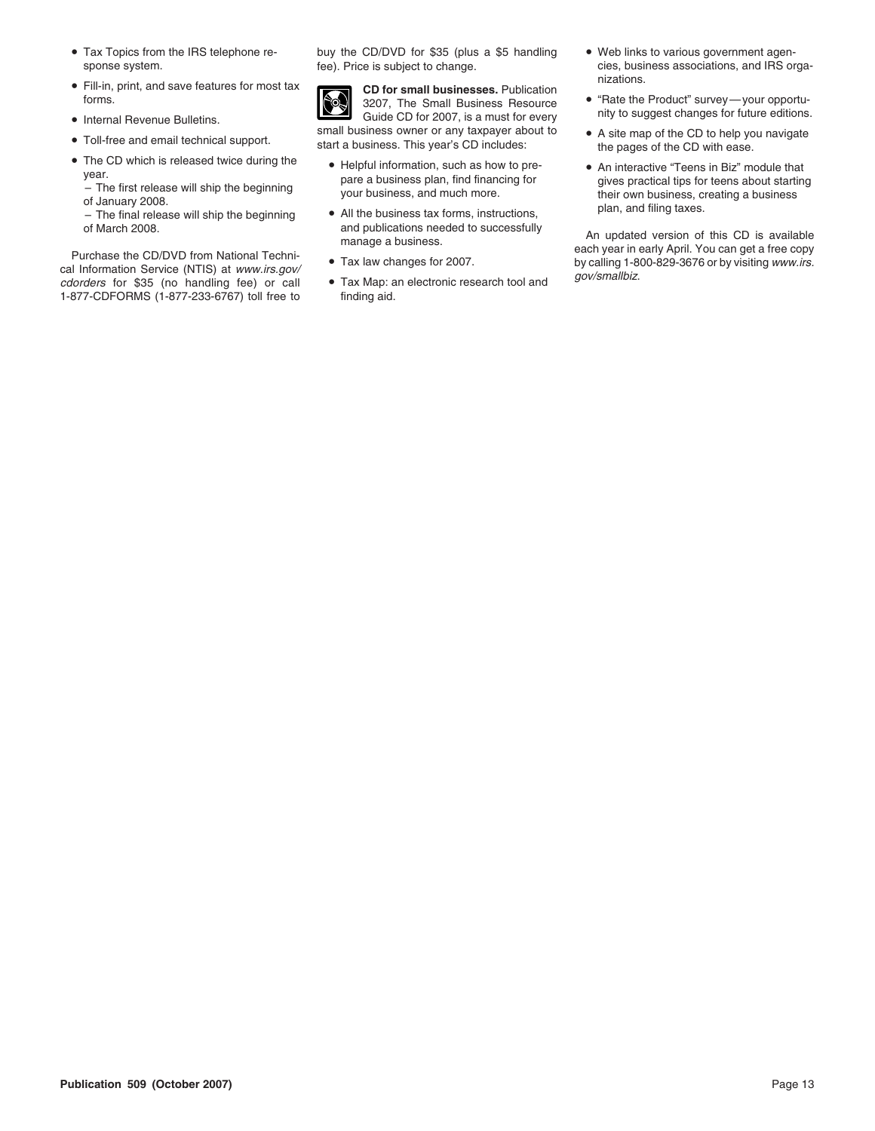- 
- 
- 
- 
- 
- 
- 

1-877-CDFORMS (1-877-233-6767) toll free to finding aid.

• Tax Topics from the IRS telephone re- buy the CD/DVD for \$35 (plus a \$5 handling • Web links to various government agen-

• Fill-in, print, and save features for most tax **CD** for small businesses. Publication forms.<br> **CD** for small Business Resource<br>
2017, The Small Business Resource • Internal Revenue Bulletins. • Guide CD for 2007, is a must for every small business owner or any taxpayer about to  $\bullet$  A site map of the CD to help you navigate<br>• Toll-free and email technical support. start a business. This year's CD includes: the pages of the CD with ease.

- The CD which is released twice during the Helpful information, such as how to pre- An interactive "Teens in Biz" module that
	-
	-
	-
- sponse system. **fee**). Price is subject to change. **cies**, business associations, and IRS orga-<br>Fill in print, and sour facture for meat to:
	- "Rate the Product" survey—your opportunity to suggest changes for future editions.
	-
- year.<br>
 The first release will ship the beginning<br>
of January 2008.<br>
 The final release will ship the beginning<br>
 The final release will ship the beginning<br>
 The final release will ship the beginning<br>
 The final relea

of March 2008. and publications needed to successfully<br>
Purchase the CD/DVD from National Techni-<br>
Purchase the CD/DVD from National Techni-<br>
each year in early April. You can get a free copy<br>
cal Information Service (NTIS